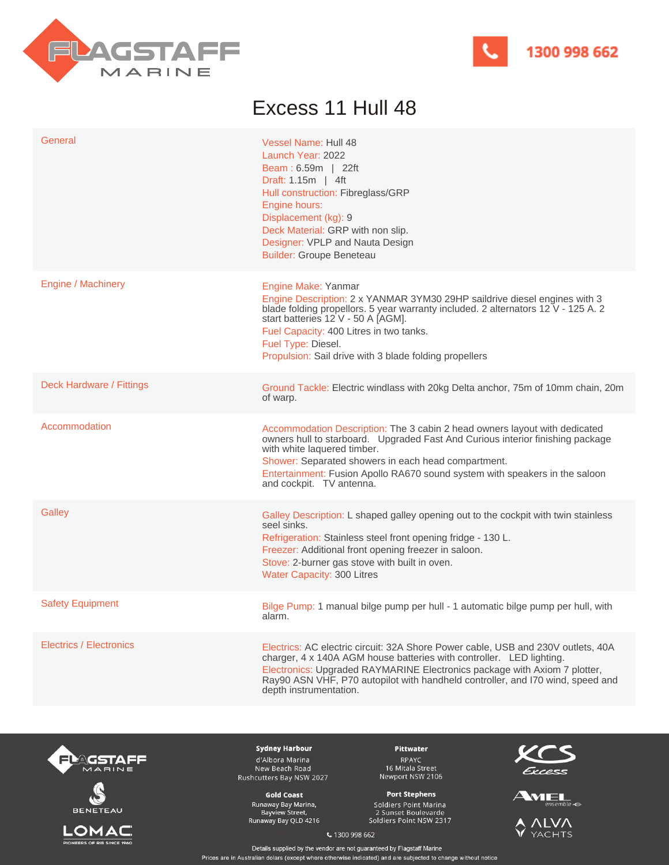



## Excess 11 Hull 48

| General                        | <b>Vessel Name: Hull 48</b><br>Launch Year: 2022<br><b>Beam: 6.59m</b>   22ft<br>Draft: 1.15m   4ft<br>Hull construction: Fibreglass/GRP<br>Engine hours:<br>Displacement (kg): 9<br>Deck Material: GRP with non slip.<br>Designer: VPLP and Nauta Design<br><b>Builder: Groupe Beneteau</b>                                                                  |
|--------------------------------|---------------------------------------------------------------------------------------------------------------------------------------------------------------------------------------------------------------------------------------------------------------------------------------------------------------------------------------------------------------|
| Engine / Machinery             | Engine Make: Yanmar<br>Engine Description: 2 x YANMAR 3YM30 29HP saildrive diesel engines with 3<br>blade folding propellors. 5 year warranty included. 2 alternators 12 V - 125 A. 2<br>start batteries 12 V - 50 A [AGM].<br>Fuel Capacity: 400 Litres in two tanks.<br>Fuel Type: Diesel.<br>Propulsion: Sail drive with 3 blade folding propellers        |
| Deck Hardware / Fittings       | Ground Tackle: Electric windlass with 20kg Delta anchor, 75m of 10mm chain, 20m<br>of warp.                                                                                                                                                                                                                                                                   |
| Accommodation                  | Accommodation Description: The 3 cabin 2 head owners layout with dedicated<br>owners hull to starboard. Upgraded Fast And Curious interior finishing package<br>with white laquered timber.<br>Shower: Separated showers in each head compartment.<br>Entertainment: Fusion Apollo RA670 sound system with speakers in the saloon<br>and cockpit. TV antenna. |
| Galley                         | Galley Description: L shaped galley opening out to the cockpit with twin stainless<br>seel sinks.<br>Refrigeration: Stainless steel front opening fridge - 130 L.<br>Freezer: Additional front opening freezer in saloon.<br>Stove: 2-burner gas stove with built in oven.<br><b>Water Capacity: 300 Litres</b>                                               |
| <b>Safety Equipment</b>        | Bilge Pump: 1 manual bilge pump per hull - 1 automatic bilge pump per hull, with<br>alarm.                                                                                                                                                                                                                                                                    |
| <b>Electrics / Electronics</b> | Electrics: AC electric circuit: 32A Shore Power cable, USB and 230V outlets, 40A<br>charger, 4 x 140A AGM house batteries with controller. LED lighting.<br>Electronics: Upgraded RAYMARINE Electronics package with Axiom 7 plotter,<br>Ray90 ASN VHF, P70 autopilot with handheld controller, and I70 wind, speed and<br>depth instrumentation.             |







**Sydney Harbour** d'Albora Marina New Beach Road Rushcutters Bay NSW 2027

**Gold Coast** Runaway Bay Marina,<br>Bayview Street,<br>Runaway Bay QLD 4216

Pittwater RPAYC<br>16 Mitala Street<br>Newport NSW 2106

## **Port Stephens** Soldiers Point Marina

2 Sunset Boulevarde<br>Soldiers Point NSW 2317







€ 1300 998 662

Details supplied by the vendor are not guaranteed by Flagstaff Marine Prices are in Australian dolars (except where otherwise indicated) and are subjected to change without notice